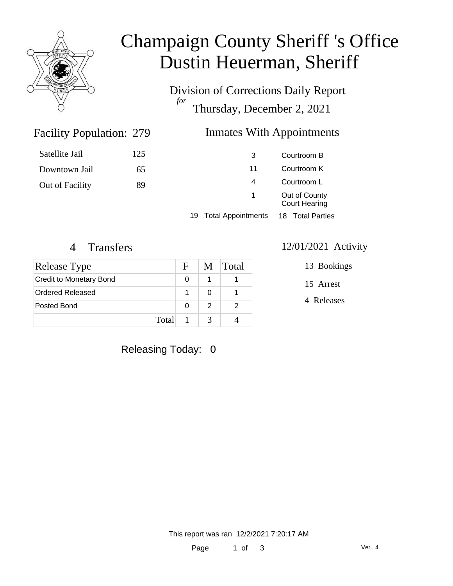

# Champaign County Sheriff 's Office Dustin Heuerman, Sheriff

Division of Corrections Daily Report *for* Thursday, December 2, 2021

### Inmates With Appointments

| Satellite Jail  | 125 | 3                     | Courtroom B                           |
|-----------------|-----|-----------------------|---------------------------------------|
| Downtown Jail   | 65  | 11                    | Courtroom K                           |
| Out of Facility | 89  | 4                     | Courtroom L                           |
|                 | 1.  |                       | Out of County<br><b>Court Hearing</b> |
|                 |     | 19 Total Appointments | 18 Total Parties                      |

Facility Population: 279

| Release Type                   | F | M | <b>Total</b> |
|--------------------------------|---|---|--------------|
| <b>Credit to Monetary Bond</b> | O |   |              |
| Ordered Released               |   |   |              |
| Posted Bond                    | 0 |   |              |
| Total                          |   |   |              |

#### 4 Transfers 12/01/2021 Activity

13 Bookings

15 Arrest

4 Releases

Releasing Today: 0

This report was ran 12/2/2021 7:20:17 AM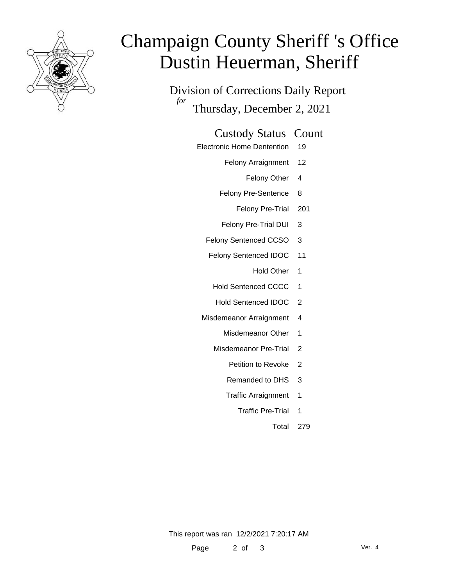

# Champaign County Sheriff 's Office Dustin Heuerman, Sheriff

Division of Corrections Daily Report *for* Thursday, December 2, 2021

#### Custody Status Count

- Electronic Home Dentention 19
	- Felony Arraignment 12
		- Felony Other 4
	- Felony Pre-Sentence 8
		- Felony Pre-Trial 201
	- Felony Pre-Trial DUI 3
	- Felony Sentenced CCSO 3
	- Felony Sentenced IDOC 11
		- Hold Other 1
		- Hold Sentenced CCCC 1
		- Hold Sentenced IDOC 2
	- Misdemeanor Arraignment 4
		- Misdemeanor Other 1
		- Misdemeanor Pre-Trial 2
			- Petition to Revoke 2
			- Remanded to DHS 3
			- Traffic Arraignment 1
				- Traffic Pre-Trial 1
					- Total 279